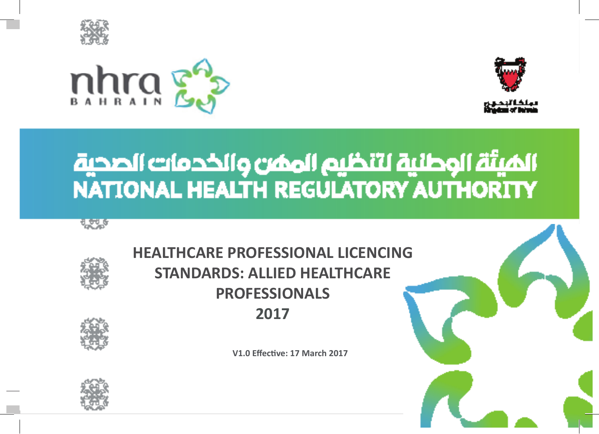





# الضيئة الوطنية لتنظيم المضن والخدمات الصحية<br>NATIONAL HEALTH REGULATORY AUTHORITY



**HEALTHCARE PROFESSIONAL LICENCING STANDARDS: ALLIED HEALTHCARE PROFESSIONALS 2017**





**V1.0 Effective: 17 March 2017**

Healthcare Professional Licensing Standards: ALLIED HEALTHCARE PROFESSIONALS 2017 1

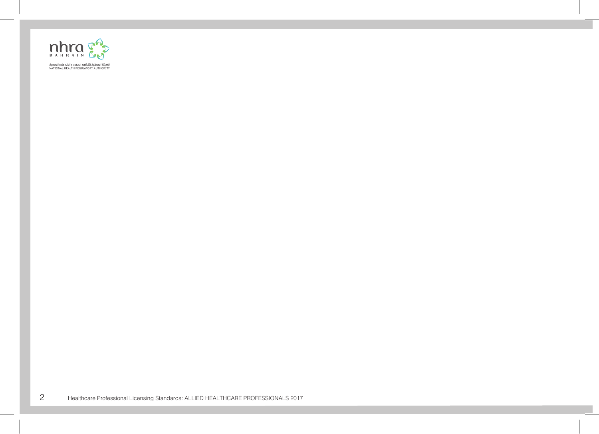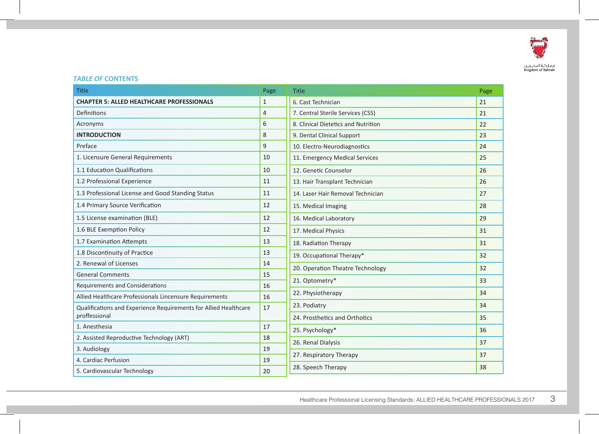

#### *TABLE OF* **CONTENTS**

| <b>Title</b>                                                     | Page         | <b>Title</b>                        | Page |
|------------------------------------------------------------------|--------------|-------------------------------------|------|
| <b>CHAPTER 5: ALLED HEALTHCARE PROFESSIONALS</b>                 | $\mathbf{1}$ | 6. Cast Technician                  | 21   |
| Definitions                                                      | 4            | 7. Central Sterile Services (CSS)   | 21   |
| Acronyms                                                         | 6            | 8. Clinical Dietetics and Nutrition | 22   |
| <b>INTRODUCTION</b>                                              | 8            | 9. Dental Clinical Support          | 23   |
| Preface                                                          | 9            | 10. Electro-Neurodiagnostics        | 24   |
| 1. Licensure General Requirements                                | 10           | 11. Emergency Medical Services      | 25   |
| 1.1 Education Qualifications                                     | 10           | 12. Genetic Counselor               | 26   |
| 1.2 Professional Experience                                      | 11           | 13. Hair Transplant Technician      | 26   |
| 1.3 Professional License and Good Standing Status                | 11           | 14. Laser Hair Removal Technician   | 27   |
| 1.4 Primary Source Verification                                  | 12           | 15. Medical Imaging                 | 28   |
| 1.5 License examination (BLE)                                    | 12           | 16. Medical Laboratory              | 29   |
| 1.6 BLE Exemption Policy                                         | 12           | 17. Medical Physics                 | 31   |
| 1.7 Examination Attempts                                         | 13           | 18. Radiation Therapy               | 31   |
| 1.8 Discontinuity of Practice                                    | 13           | 19. Occupational Therapy*           | 32   |
| 2. Renewal of Licenses                                           | 14           | 20. Operation Theatre Technology    | 32   |
| <b>General Comments</b>                                          | 15           | 21. Optometry*                      | 33   |
| Requirements and Considerations                                  | 16           |                                     |      |
| Allied Healthcare Professionals Lincensure Requirements          | 16           | 22. Physiotherapy                   | 34   |
| Qualifications and Experience Requirements for Allied Healthcare | 17           | 23. Podiatry                        | 34   |
| proffessional                                                    |              | 24. Prosthetics and Orthotics       | 35   |
| 1. Anesthesia                                                    | 17           | 25. Psychology*                     | 36   |
| 2. Assisted Reproductive Technology (ART)                        | 18           | 26. Renal Dialysis                  | 37   |
| 3. Audiology                                                     | 19           |                                     | 37   |
| 4. Cardiac Perfusion                                             | 19           | 27. Respiratory Therapy             |      |
| 5. Cardiovascular Technology                                     | 20           | 28. Speech Therapy                  | 38   |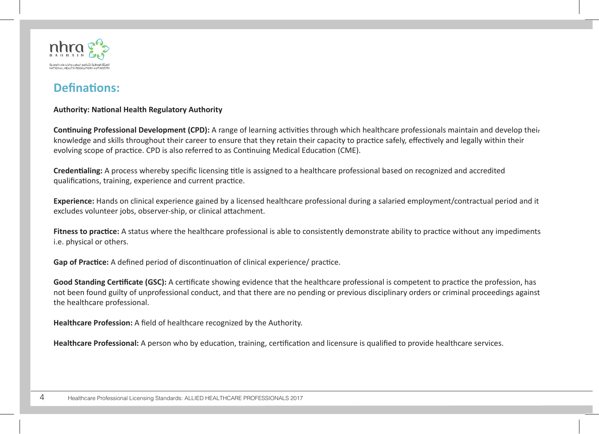

# **Definations:**

#### **Authority: National Health Regulatory Authority**

**Continuing Professional Development (CPD):** A range of learning activities through which healthcare professionals maintain and develop their knowledge and skills throughout their career to ensure that they retain their capacity to practice safely, effectively and legally within their evolving scope of practice. CPD is also referred to as Continuing Medical Education (CME).

**Credentialing:** A process whereby specific licensing title is assigned to a healthcare professional based on recognized and accredited qualifications, training, experience and current practice.

**Experience:** Hands on clinical experience gained by a licensed healthcare professional during a salaried employment/contractual period and it excludes volunteer jobs, observer-ship, or clinical attachment.

**Fitness to practice:** A status where the healthcare professional is able to consistently demonstrate ability to practice without any impediments i.e. physical or others.

**Gap of Practice:** A defined period of discontinuation of clinical experience/ practice.

Good Standing Certificate (GSC): A certificate showing evidence that the healthcare professional is competent to practice the profession, has not been found guilty of unprofessional conduct, and that there are no pending or previous disciplinary orders or criminal proceedings against the healthcare professional.

**Healthcare Profession:** A field of healthcare recognized by the Authority.

**Healthcare Professional:** A person who by education, training, certification and licensure is qualified to provide healthcare services.

4 Healthcare Professional Licensing Standards: ALLIED HEALTHCARE PROFESSIONALS 2017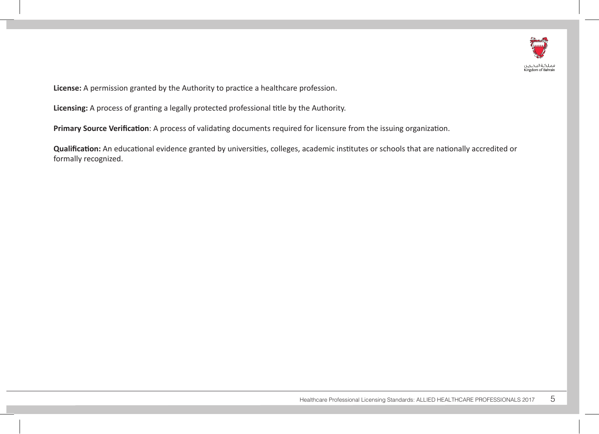

**License:** A permission granted by the Authority to practice a healthcare profession.

**Licensing:** A process of granting a legally protected professional title by the Authority.

**Primary Source Verification**: A process of validating documents required for licensure from the issuing organization.

**Qualification:** An educational evidence granted by universities, colleges, academic institutes or schools that are nationally accredited or formally recognized.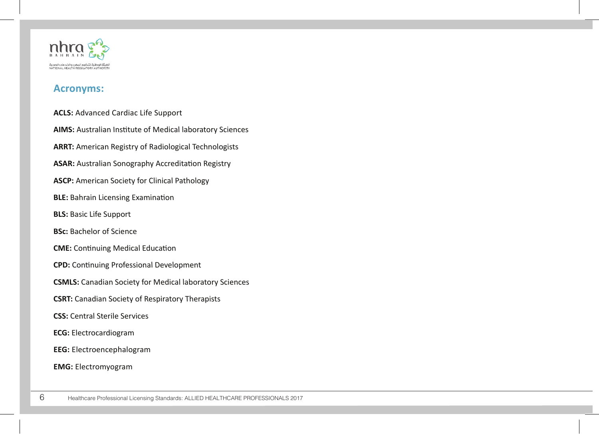

#### **Acronyms:**

**ACLS:** Advanced Cardiac Life Support **AIMS:** Australian Institute of Medical laboratory Sciences **ARRT:** American Registry of Radiological Technologists **ASAR:** Australian Sonography Accreditation Registry **ASCP:** American Society for Clinical Pathology **BLE:** Bahrain Licensing Examination **BLS:** Basic Life Support **BSc:** Bachelor of Science **CME:** Continuing Medical Education **CPD:** Continuing Professional Development **CSMLS:** Canadian Society for Medical laboratory Sciences **CSRT:** Canadian Society of Respiratory Therapists **CSS:** Central Sterile Services **ECG:** Electrocardiogram **EEG:** Electroencephalogram **EMG:** Electromyogram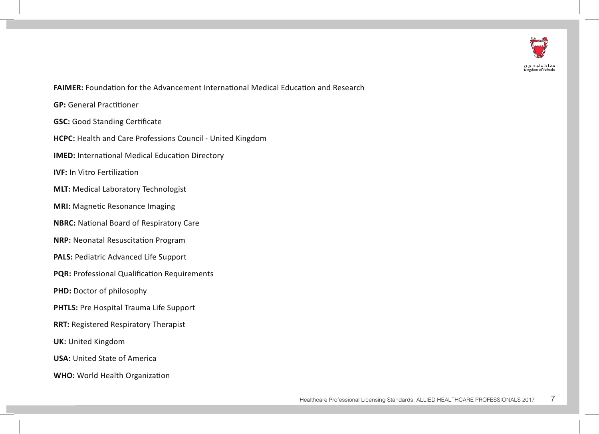

**FAIMER:** Foundation for the Advancement International Medical Education and Research

- **GP:** General Practitioner
- **GSC:** Good Standing Certificate
- **HCPC:** Health and Care Professions Council United Kingdom
- **IMED:** International Medical Education Directory
- **IVF:** In Vitro Fertilization
- **MLT:** Medical Laboratory Technologist
- **MRI:** Magnetic Resonance Imaging
- **NBRC:** National Board of Respiratory Care
- **NRP:** Neonatal Resuscitation Program
- **PALS:** Pediatric Advanced Life Support
- **PQR:** Professional Qualification Requirements
- **PHD:** Doctor of philosophy
- **PHTLS:** Pre Hospital Trauma Life Support
- **RRT:** Registered Respiratory Therapist
- **UK:** United Kingdom
- **USA:** United State of America
- **WHO:** World Health Organization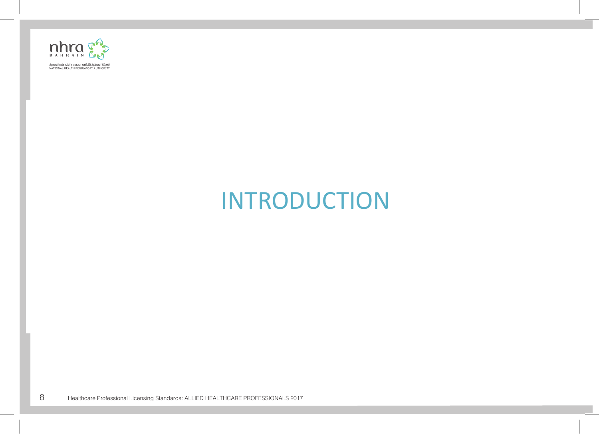

# INTRODUCTION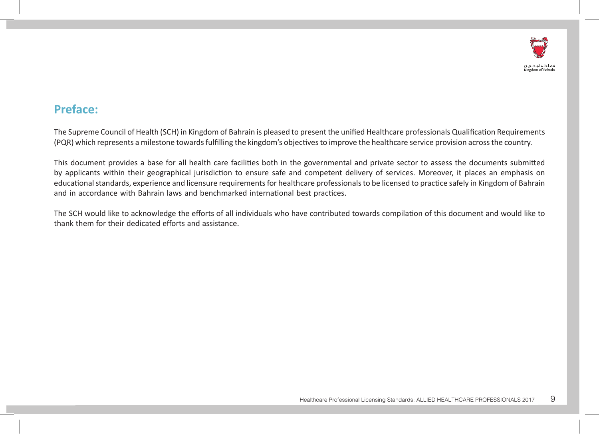

## **Preface:**

The Supreme Council of Health (SCH) in Kingdom of Bahrain is pleased to present the unified Healthcare professionals Qualification Requirements (PQR) which represents a milestone towards fulfilling the kingdom's objectives to improve the healthcare service provision across the country.

This document provides a base for all health care facilities both in the governmental and private sector to assess the documents submitted by applicants within their geographical jurisdiction to ensure safe and competent delivery of services. Moreover, it places an emphasis on educational standards, experience and licensure requirements for healthcare professionals to be licensed to practice safely in Kingdom of Bahrain and in accordance with Bahrain laws and benchmarked international best practices.

The SCH would like to acknowledge the efforts of all individuals who have contributed towards compilation of this document and would like to thank them for their dedicated efforts and assistance.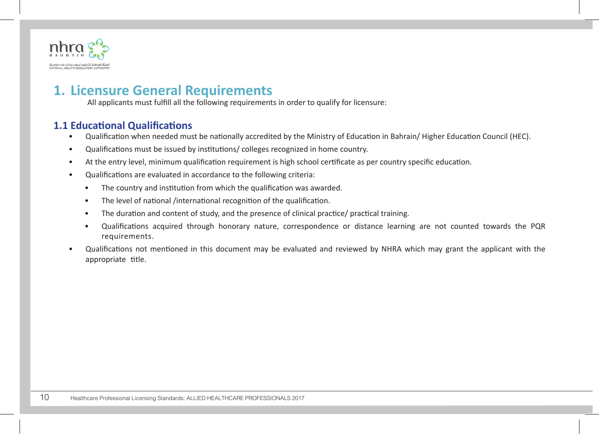

# **11 Licensure General Requirements**

All applicants must fulfill all the following requirements in order to qualify for licensure:

#### **1.1 Educational Qualifications**

- Qualification when needed must be nationally accredited by the Ministry of Education in Bahrain/ Higher Education Council (HEC).
- Qualifications must be issued by institutions/ colleges recognized in home country.
- At the entry level, minimum qualification requirement is high school certificate as per country specific education.
- Qualifications are evaluated in accordance to the following criteria:
	- The country and institution from which the qualification was awarded.
	- The level of national /international recognition of the qualification.
	- The duration and content of study, and the presence of clinical practice/ practical training.
	- Qualifications acquired through honorary nature, correspondence or distance learning are not counted towards the PQR requirements.
- Qualifications not mentioned in this document may be evaluated and reviewed by NHRA which may grant the applicant with the appropriate title.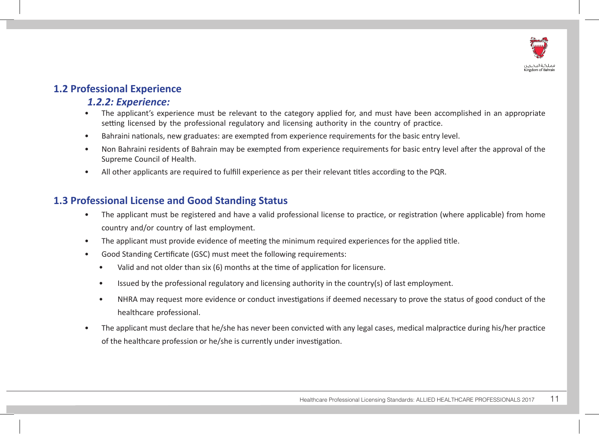

#### **1.2 Professional Experience**

#### *1.2.2: Experience:*

- The applicant's experience must be relevant to the category applied for, and must have been accomplished in an appropriate setting licensed by the professional regulatory and licensing authority in the country of practice.
- Bahraini nationals, new graduates: are exempted from experience requirements for the basic entry level.
- Non Bahraini residents of Bahrain may be exempted from experience requirements for basic entry level after the approval of the Supreme Council of Health.
- All other applicants are required to fulfill experience as per their relevant titles according to the PQR.

#### **1.3 Professional License and Good Standing Status**

- The applicant must be registered and have a valid professional license to practice, or registration (where applicable) from home country and/or country of last employment.
- The applicant must provide evidence of meeting the minimum required experiences for the applied title.
- Good Standing Certificate (GSC) must meet the following requirements:
	- Valid and not older than six (6) months at the time of application for licensure.
	- Issued by the professional regulatory and licensing authority in the country(s) of last employment.
	- NHRA may request more evidence or conduct investigations if deemed necessary to prove the status of good conduct of the healthcare professional.
- The applicant must declare that he/she has never been convicted with any legal cases, medical malpractice during his/her practice of the healthcare profession or he/she is currently under investigation.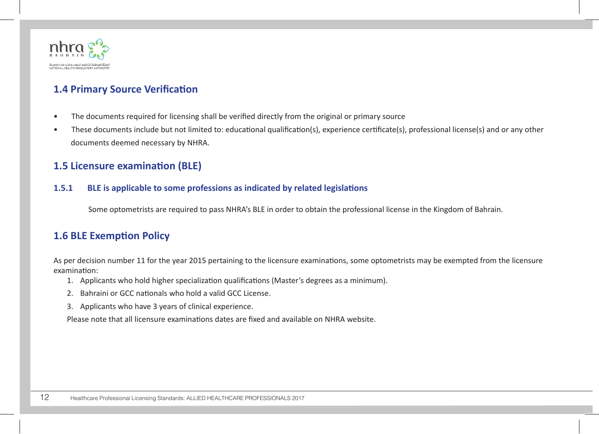

#### **1.4 Primary Source Verification**

- The documents required for licensing shall be verified directly from the original or primary source
- These documents include but not limited to: educational qualification(s), experience certificate(s), professional license(s) and or any other documents deemed necessary by NHRA.

#### **1.5 Licensure examination (BLE)**

#### **1.5.1 BLE is applicable to some professions as indicated by related legislations**

Some optometrists are required to pass NHRA's BLE in order to obtain the professional license in the Kingdom of Bahrain.

#### **1.6 BLE Exemption Policy**

As per decision number 11 for the year 2015 pertaining to the licensure examinations, some optometrists may be exempted from the licensure examination:

- 1. Applicants who hold higher specialization qualifications (Master's degrees as a minimum).
- 2. Bahraini or GCC nationals who hold a valid GCC License.
- 3. Applicants who have 3 years of clinical experience.

Please note that all licensure examinations dates are fixed and available on NHRA website.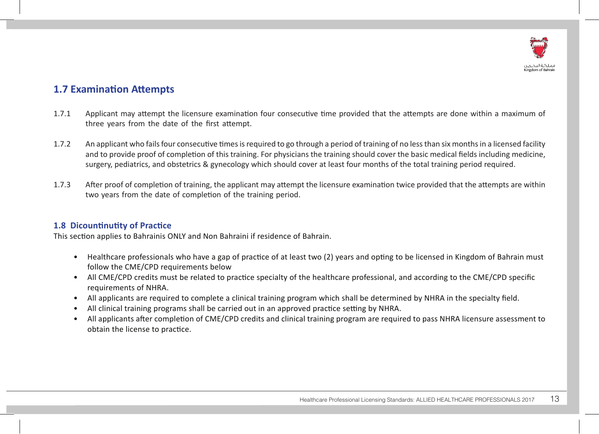

#### **1.7 Examination Attempts**

- 1.7.1 Applicant may attempt the licensure examination four consecutive time provided that the attempts are done within a maximum of three years from the date of the first attempt.
- 1.7.2 An applicant who fails four consecutive times is required to go through a period of training of no less than six months in a licensed facility and to provide proof of completion of this training. For physicians the training should cover the basic medical fields including medicine, surgery, pediatrics, and obstetrics & gynecology which should cover at least four months of the total training period required.
- 1.7.3 After proof of completion of training, the applicant may attempt the licensure examination twice provided that the attempts are within two years from the date of completion of the training period.

#### **1.8 Dicountinutity of Practice**

This section applies to Bahrainis ONLY and Non Bahraini if residence of Bahrain.

- Healthcare professionals who have a gap of practice of at least two (2) years and opting to be licensed in Kingdom of Bahrain must follow the CME/CPD requirements below
- All CME/CPD credits must be related to practice specialty of the healthcare professional, and according to the CME/CPD specific requirements of NHRA.
- All applicants are required to complete a clinical training program which shall be determined by NHRA in the specialty field.
- All clinical training programs shall be carried out in an approved practice setting by NHRA.
- All applicants after completion of CME/CPD credits and clinical training program are required to pass NHRA licensure assessment to obtain the license to practice.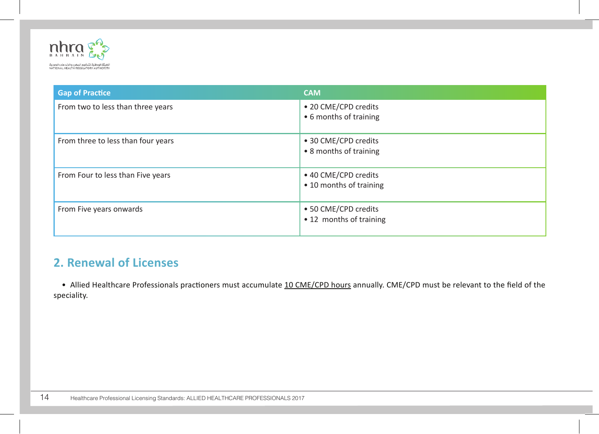

| <b>Gap of Practice</b>             | <b>CAM</b>                                      |
|------------------------------------|-------------------------------------------------|
| From two to less than three years  | • 20 CME/CPD credits<br>• 6 months of training  |
| From three to less than four years | • 30 CME/CPD credits<br>• 8 months of training  |
| From Four to less than Five years  | • 40 CME/CPD credits<br>• 10 months of training |
| From Five years onwards            | • 50 CME/CPD credits<br>• 12 months of training |

# **2. Renewal of Licenses**

• Allied Healthcare Professionals practioners must accumulate 10 CME/CPD hours annually. CME/CPD must be relevant to the field of the speciality.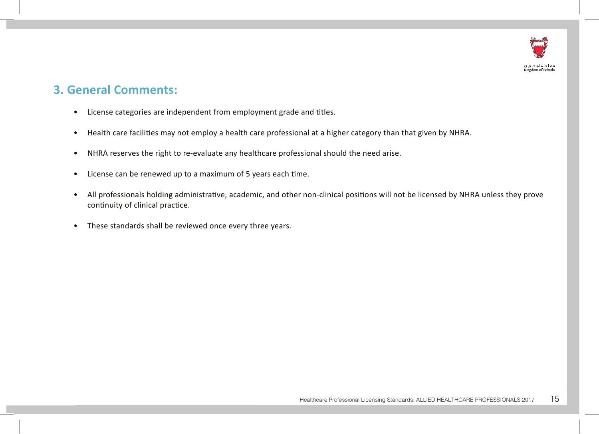

# **3. General Comments:**

- License categories are independent from employment grade and titles.
- Health care facilities may not employ a health care professional at a higher category than that given by NHRA.
- NHRA reserves the right to re-evaluate any healthcare professional should the need arise.
- License can be renewed up to a maximum of 5 years each time.
- All professionals holding administrative, academic, and other non-clinical positions will not be licensed by NHRA unless they prove continuity of clinical practice.
- These standards shall be reviewed once every three years.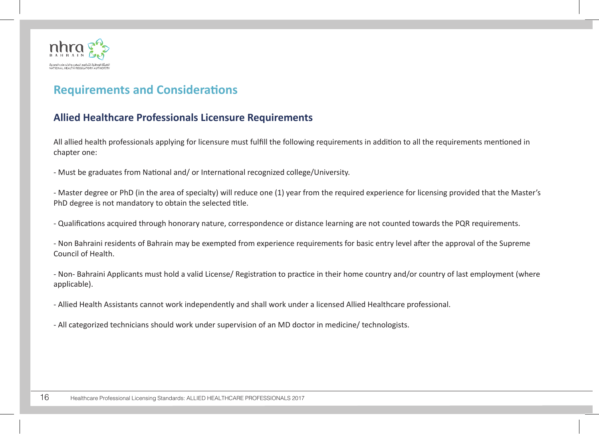

# **Requirements and Considerations**

#### **Allied Healthcare Professionals Licensure Requirements**

All allied health professionals applying for licensure must fulfill the following requirements in addition to all the requirements mentioned in chapter one:

- Must be graduates from National and/ or International recognized college/University.

- Master degree or PhD (in the area of specialty) will reduce one (1) year from the required experience for licensing provided that the Master's PhD degree is not mandatory to obtain the selected title.

- Qualifications acquired through honorary nature, correspondence or distance learning are not counted towards the PQR requirements.

- Non Bahraini residents of Bahrain may be exempted from experience requirements for basic entry level after the approval of the Supreme Council of Health.

- Non- Bahraini Applicants must hold a valid License/ Registration to practice in their home country and/or country of last employment (where applicable).

- Allied Health Assistants cannot work independently and shall work under a licensed Allied Healthcare professional.

- All categorized technicians should work under supervision of an MD doctor in medicine/ technologists.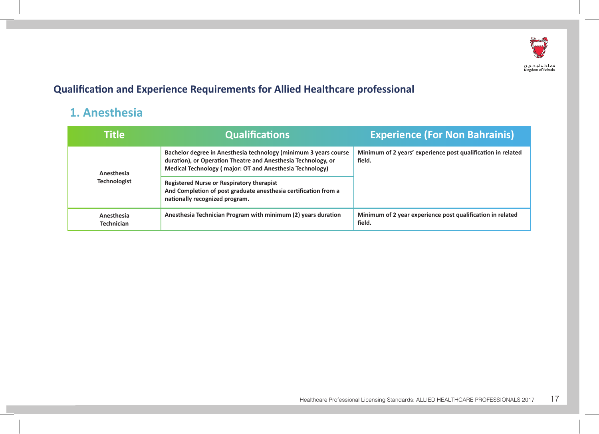

#### **Qualification and Experience Requirements for Allied Healthcare professional**

# **1. Anesthesia**

| <b>Title</b>                    | <b>Qualifications</b>                                                                                                                                                                         | <b>Experience (For Non Bahrainis)</b>                                  |
|---------------------------------|-----------------------------------------------------------------------------------------------------------------------------------------------------------------------------------------------|------------------------------------------------------------------------|
| Anesthesia                      | Bachelor degree in Anesthesia technology (minimum 3 years course<br>duration), or Operation Theatre and Anesthesia Technology, or<br>Medical Technology (major: OT and Anesthesia Technology) | Minimum of 2 years' experience post qualification in related<br>field. |
| <b>Technologist</b>             | Registered Nurse or Respiratory therapist<br>And Completion of post graduate anesthesia certification from a<br>nationally recognized program.                                                |                                                                        |
| Anesthesia<br><b>Technician</b> | Anesthesia Technician Program with minimum (2) years duration                                                                                                                                 | Minimum of 2 year experience post qualification in related<br>field.   |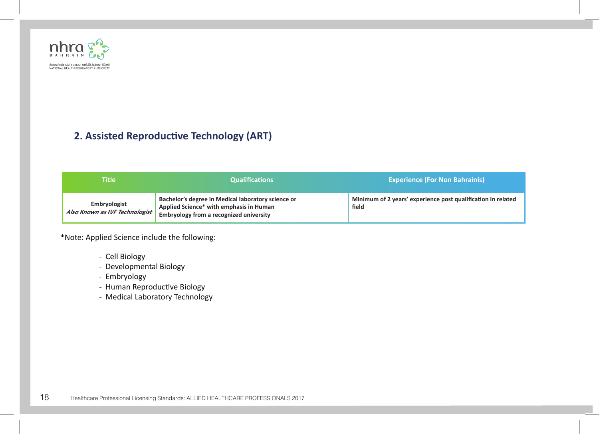

#### **2. Assisted Reproductive Technology (ART)**

| Title                                          | <b>Qualifications</b>                                                                                                                    |       | <b>Experience (For Non Bahrainis)</b>                        |
|------------------------------------------------|------------------------------------------------------------------------------------------------------------------------------------------|-------|--------------------------------------------------------------|
| Embryologist<br>Also Known as IVF Technologist | Bachelor's degree in Medical laboratory science or<br>Applied Science* with emphasis in Human<br>Embryology from a recognized university | field | Minimum of 2 years' experience post qualification in related |

\*Note: Applied Science include the following:

- Cell Biology
- Developmental Biology
- Embryology
- Human Reproductive Biology
- Medical Laboratory Technology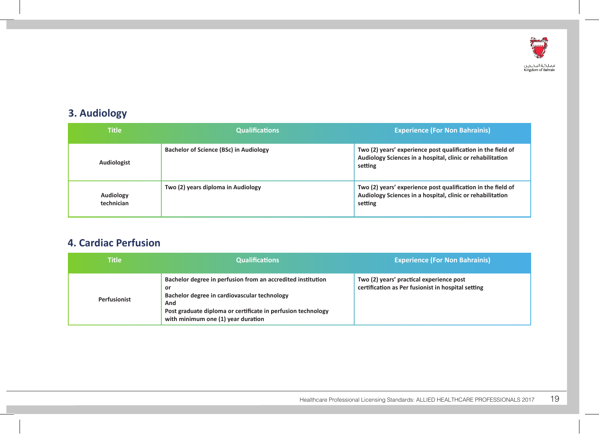

#### **3. Audiology**

| <b>Title</b>            | <b>Qualifications</b>                  | <b>Experience (For Non Bahrainis)</b>                                                                                                 |
|-------------------------|----------------------------------------|---------------------------------------------------------------------------------------------------------------------------------------|
| Audiologist             | Bachelor of Science (BSc) in Audiology | Two (2) years' experience post qualification in the field of<br>Audiology Sciences in a hospital, clinic or rehabilitation<br>setting |
| Audiology<br>technician | Two (2) years diploma in Audiology     | Two (2) years' experience post qualification in the field of<br>Audiology Sciences in a hospital, clinic or rehabilitation<br>setting |

#### **4. Cardiac Perfusion**

| <b>Title</b> | <b>Qualifications</b>                                                                                                                                                                                                          |  | <b>Experience (For Non Bahrainis)</b>                                                          |
|--------------|--------------------------------------------------------------------------------------------------------------------------------------------------------------------------------------------------------------------------------|--|------------------------------------------------------------------------------------------------|
| Perfusionist | Bachelor degree in perfusion from an accredited institution<br>or<br>Bachelor degree in cardiovascular technology<br>And<br>Post graduate diploma or certificate in perfusion technology<br>with minimum one (1) year duration |  | Two (2) years' practical experience post<br>certification as Per fusionist in hospital setting |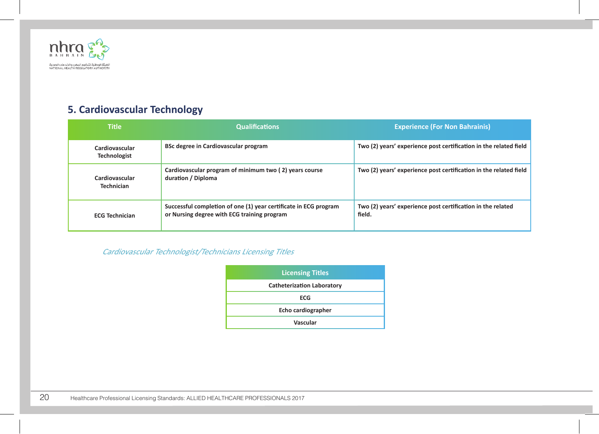

#### **5. Cardiovascular Technology**

| <b>Title</b>                          | <b>Qualifications</b>                                                                                           | <b>Experience (For Non Bahrainis)</b>                                 |
|---------------------------------------|-----------------------------------------------------------------------------------------------------------------|-----------------------------------------------------------------------|
| Cardiovascular<br><b>Technologist</b> | BSc degree in Cardiovascular program                                                                            | Two (2) years' experience post certification in the related field     |
| Cardiovascular<br>Technician          | Cardiovascular program of minimum two (2) years course<br>duration / Diploma                                    | Two (2) years' experience post certification in the related field     |
| <b>ECG Technician</b>                 | Successful completion of one (1) year certificate in ECG program<br>or Nursing degree with ECG training program | Two (2) years' experience post certification in the related<br>field. |

#### Cardiovascular Technologist/Technicians Licensing Titles

| <b>Licensing Titles</b>           |  |
|-----------------------------------|--|
| <b>Catheterization Laboratory</b> |  |
| ECG                               |  |
| Echo cardiographer                |  |
| Vascular                          |  |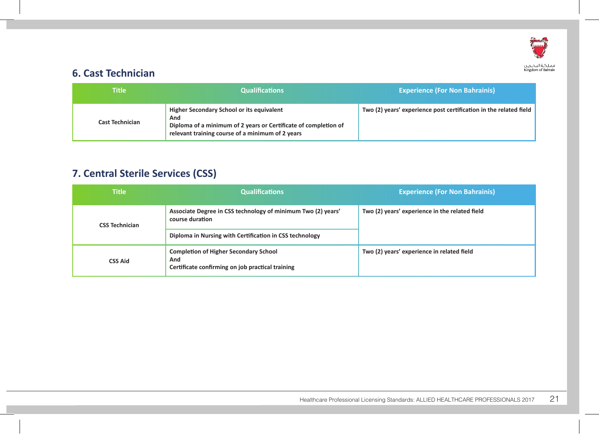

#### **6. Cast Technician**

| Title :                | <b>Qualifications</b>                                                                                                                                                   | <b>Experience (For Non Bahrainis)</b>                             |
|------------------------|-------------------------------------------------------------------------------------------------------------------------------------------------------------------------|-------------------------------------------------------------------|
| <b>Cast Technician</b> | Higher Secondary School or its equivalent<br>And<br>Diploma of a minimum of 2 years or Certificate of completion of<br>relevant training course of a minimum of 2 years | Two (2) years' experience post certification in the related field |

## **7. Central Sterile Services (CSS)**

| <b>Title</b>          | <b>Qualifications</b>                                                                                   | <b>Experience (For Non Bahrainis)</b>          |
|-----------------------|---------------------------------------------------------------------------------------------------------|------------------------------------------------|
| <b>CSS Technician</b> | Associate Degree in CSS technology of minimum Two (2) years'<br>course duration                         | Two (2) years' experience in the related field |
|                       | Diploma in Nursing with Certification in CSS technology                                                 |                                                |
| <b>CSS Aid</b>        | <b>Completion of Higher Secondary School</b><br>And<br>Certificate confirming on job practical training | Two (2) years' experience in related field     |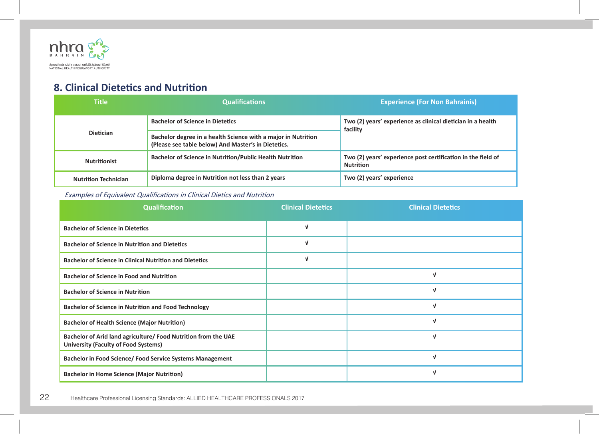

#### **8. Clinical Dietetics and Nutrition**

| Title                       | <b>Qualifications</b>                                                                                                | <b>Experience (For Non Bahrainis)</b>                                            |  |
|-----------------------------|----------------------------------------------------------------------------------------------------------------------|----------------------------------------------------------------------------------|--|
|                             | <b>Bachelor of Science in Dietetics</b>                                                                              | Two (2) years' experience as clinical dietician in a health<br>facility          |  |
| <b>Dietician</b>            | Bachelor degree in a health Science with a major in Nutrition<br>(Please see table below) And Master's in Dietetics. |                                                                                  |  |
| <b>Nutritionist</b>         | <b>Bachelor of Science in Nutrition/Public Health Nutrition</b>                                                      | Two (2) years' experience post certification in the field of<br><b>Nutrition</b> |  |
| <b>Nutrition Technician</b> | Diploma degree in Nutrition not less than 2 years                                                                    | Two (2) years' experience                                                        |  |

#### Examples of Equivalent Qualifications in Clinical Dietics and Nutrition

| Qualification                                                                                          | <b>Clinical Dietetics</b> | <b>Clinical Dietetics</b> |
|--------------------------------------------------------------------------------------------------------|---------------------------|---------------------------|
| <b>Bachelor of Science in Dietetics</b>                                                                | V                         |                           |
| <b>Bachelor of Science in Nutrition and Dietetics</b>                                                  | V                         |                           |
| <b>Bachelor of Science in Clinical Nutrition and Dietetics</b>                                         | V                         |                           |
| <b>Bachelor of Science in Food and Nutrition</b>                                                       |                           | V                         |
| <b>Bachelor of Science in Nutrition</b>                                                                |                           | V                         |
| Bachelor of Science in Nutrition and Food Technology                                                   |                           | V                         |
| <b>Bachelor of Health Science (Major Nutrition)</b>                                                    |                           | $\mathbf{v}$              |
| Bachelor of Arid land agriculture/ Food Nutrition from the UAE<br>University (Faculty of Food Systems) |                           | V                         |
| Bachelor in Food Science/ Food Service Systems Management                                              |                           | V                         |
| <b>Bachelor in Home Science (Major Nutrition)</b>                                                      |                           | V                         |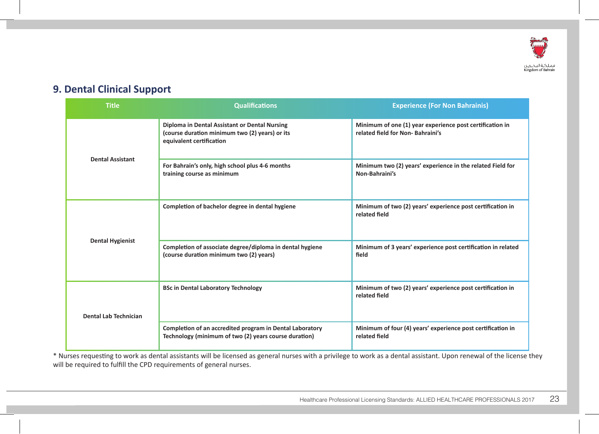

#### **9. Dental Clinical Support**

| <b>Title</b>                 | <b>Qualifications</b>                                                                                                       | <b>Experience (For Non Bahrainis)</b>                                                        |  |  |
|------------------------------|-----------------------------------------------------------------------------------------------------------------------------|----------------------------------------------------------------------------------------------|--|--|
|                              | Diploma in Dental Assistant or Dental Nursing<br>(course duration minimum two (2) years) or its<br>equivalent certification | Minimum of one (1) year experience post certification in<br>related field for Non-Bahraini's |  |  |
| <b>Dental Assistant</b>      | For Bahrain's only, high school plus 4-6 months<br>training course as minimum                                               | Minimum two (2) years' experience in the related Field for<br>Non-Bahraini's                 |  |  |
|                              | Completion of bachelor degree in dental hygiene                                                                             | Minimum of two (2) years' experience post certification in<br>related field                  |  |  |
| <b>Dental Hygienist</b>      | Completion of associate degree/diploma in dental hygiene<br>(course duration minimum two (2) years)                         | Minimum of 3 years' experience post certification in related<br>field                        |  |  |
| <b>Dental Lab Technician</b> | <b>BSc in Dental Laboratory Technology</b>                                                                                  | Minimum of two (2) years' experience post certification in<br>related field                  |  |  |
|                              | Completion of an accredited program in Dental Laboratory<br>Technology (minimum of two (2) years course duration)           | Minimum of four (4) years' experience post certification in<br>related field                 |  |  |

\* Nurses requesting to work as dental assistants will be licensed as general nurses with a privilege to work as a dental assistant. Upon renewal of the license they will be required to fulfill the CPD requirements of general nurses.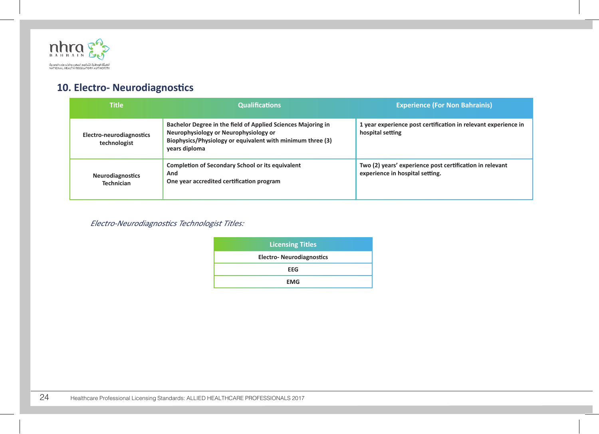

#### **10. Electro- Neurodiagnostics**

| <b>Title</b>                                 | <b>Qualifications</b>                                                                                                                                                                | <b>Experience (For Non Bahrainis)</b>                                                       |  |
|----------------------------------------------|--------------------------------------------------------------------------------------------------------------------------------------------------------------------------------------|---------------------------------------------------------------------------------------------|--|
| Electro-neurodiagnostics<br>technologist     | Bachelor Degree in the field of Applied Sciences Majoring in<br>Neurophysiology or Neurophysiology or<br>Biophysics/Physiology or equivalent with minimum three (3)<br>years diploma | 1 year experience post certification in relevant experience in<br>hospital setting          |  |
| <b>Neurodiagnostics</b><br><b>Technician</b> | Completion of Secondary School or its equivalent<br>And<br>One year accredited certification program                                                                                 | Two (2) years' experience post certification in relevant<br>experience in hospital setting. |  |

Electro-Neurodiagnostics Technologist Titles:

| <b>Licensing Titles</b>         |  |
|---------------------------------|--|
| <b>Electro-Neurodiagnostics</b> |  |
| EEG                             |  |
| <b>EMG</b>                      |  |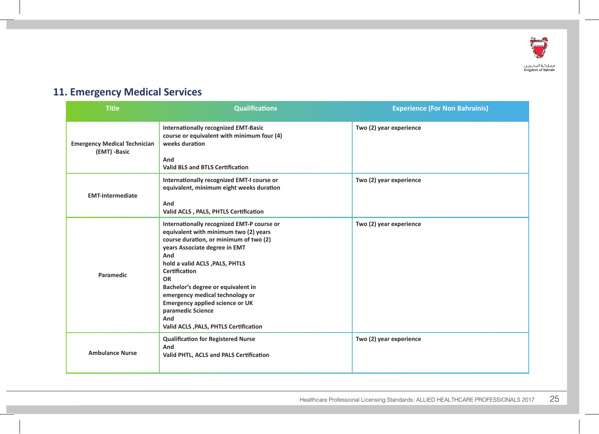

## **11. Emergency Medical Services**

| <b>Title</b>                                        | <b>Qualifications</b>                                                                                                                                                                                                                                                                                                                                                                                                           | <b>Experience (For Non Bahrainis)</b> |  |  |
|-----------------------------------------------------|---------------------------------------------------------------------------------------------------------------------------------------------------------------------------------------------------------------------------------------------------------------------------------------------------------------------------------------------------------------------------------------------------------------------------------|---------------------------------------|--|--|
| <b>Emergency Medical Technician</b><br>(EMT) -Basic | <b>Internationally recognized EMT-Basic</b><br>course or equivalent with minimum four (4)<br>weeks duration<br>And<br><b>Valid BLS and BTLS Certification</b>                                                                                                                                                                                                                                                                   | Two (2) year experience               |  |  |
| <b>EMT-Intermediate</b>                             | Internationally recognized EMT-I course or<br>equivalent, minimum eight weeks duration<br>And<br>Valid ACLS, PALS, PHTLS Certification                                                                                                                                                                                                                                                                                          | Two (2) year experience               |  |  |
| Paramedic                                           | Internationally recognized EMT-P course or<br>equivalent with minimum two (2) years<br>course duration, or minimum of two (2)<br>years Associate degree in EMT<br>And<br>hold a valid ACLS , PALS, PHTLS<br>Certification<br><b>OR</b><br>Bachelor's degree or equivalent in<br>emergency medical technology or<br><b>Emergency applied science or UK</b><br>paramedic Science<br>And<br>Valid ACLS , PALS, PHTLS Certification | Two (2) year experience               |  |  |
| <b>Ambulance Nurse</b>                              | <b>Qualification for Registered Nurse</b><br>And<br>Valid PHTL, ACLS and PALS Certification                                                                                                                                                                                                                                                                                                                                     | Two (2) year experience               |  |  |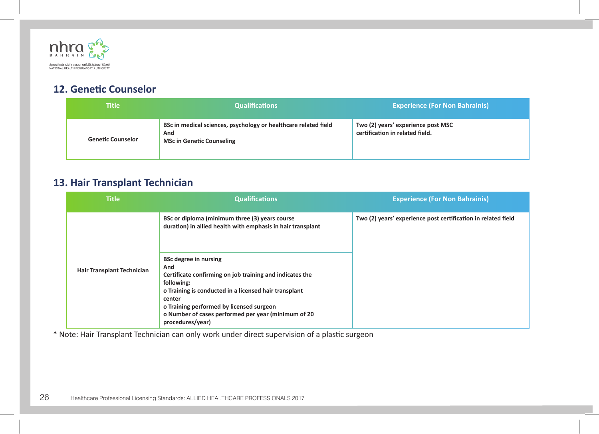

#### **12. Genetic Counselor**

| <b>Title</b>             | <b>Qualifications</b>                                                                                      | <b>Experience (For Non Bahrainis)</b>                                 |
|--------------------------|------------------------------------------------------------------------------------------------------------|-----------------------------------------------------------------------|
| <b>Genetic Counselor</b> | BSc in medical sciences, psychology or healthcare related field<br>And<br><b>MSc in Genetic Counseling</b> | Two (2) years' experience post MSC<br>certification in related field. |

#### **13. Hair Transplant Technician**

| <b>Title</b>               | <b>Qualifications</b>                                                                                                                                                                                                                                                                                                                                                                                                    | <b>Experience (For Non Bahrainis)</b>                         |
|----------------------------|--------------------------------------------------------------------------------------------------------------------------------------------------------------------------------------------------------------------------------------------------------------------------------------------------------------------------------------------------------------------------------------------------------------------------|---------------------------------------------------------------|
| Hair Transplant Technician | BSc or diploma (minimum three (3) years course<br>duration) in allied health with emphasis in hair transplant<br><b>BSc degree in nursing</b><br>And<br>Certificate confirming on job training and indicates the<br>following:<br>o Training is conducted in a licensed hair transplant<br>center<br>o Training performed by licensed surgeon<br>o Number of cases performed per year (minimum of 20<br>procedures/year) | Two (2) years' experience post certification in related field |

\* Note: Hair Transplant Technician can only work under direct supervision of a plastic surgeon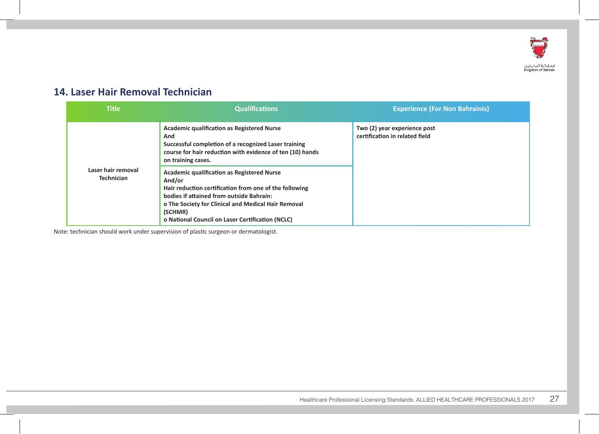

#### **14. Laser Hair Removal Technician**

| <b>Title</b>                            | <b>Qualifications</b>                                                                                                                                                                                                                                                                   | <b>Experience (For Non Bahrainis)</b>                          |
|-----------------------------------------|-----------------------------------------------------------------------------------------------------------------------------------------------------------------------------------------------------------------------------------------------------------------------------------------|----------------------------------------------------------------|
|                                         | <b>Academic qualification as Registered Nurse</b><br>And<br>Successful completion of a recognized Laser training<br>course for hair reduction with evidence of ten (10) hands<br>on training cases.                                                                                     | Two (2) year experience post<br>certification in related field |
| Laser hair removal<br><b>Technician</b> | <b>Academic qualification as Registered Nurse</b><br>And/or<br>Hair reduction certification from one of the following<br>bodies if attained from outside Bahrain:<br>o The Society for Clinical and Medical Hair Removal<br>(SCHMR)<br>o National Council on Laser Certification (NCLC) |                                                                |

Note: technician should work under supervision of plastic surgeon or dermatologist.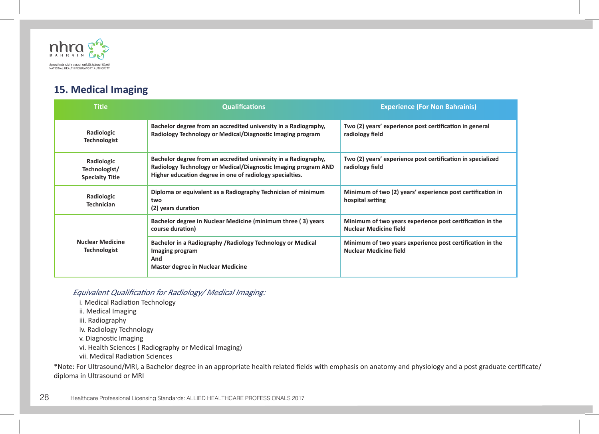

#### **15. Medical Imaging**

| <b>Title</b>                                          | <b>Qualifications</b>                                                                                                                                                                         | <b>Experience (For Non Bahrainis)</b>                                                      |  |
|-------------------------------------------------------|-----------------------------------------------------------------------------------------------------------------------------------------------------------------------------------------------|--------------------------------------------------------------------------------------------|--|
| Radiologic<br>Technologist                            | Bachelor degree from an accredited university in a Radiography,<br>Radiology Technology or Medical/Diagnostic Imaging program                                                                 | Two (2) years' experience post certification in general<br>radiology field                 |  |
| Radiologic<br>Technologist/<br><b>Specialty Title</b> | Bachelor degree from an accredited university in a Radiography,<br>Radiology Technology or Medical/Diagnostic Imaging program AND<br>Higher education degree in one of radiology specialties. | Two (2) years' experience post certification in specialized<br>radiology field             |  |
| Radiologic<br><b>Technician</b>                       | Diploma or equivalent as a Radiography Technician of minimum<br>two<br>(2) years duration                                                                                                     | Minimum of two (2) years' experience post certification in<br>hospital setting             |  |
|                                                       | Bachelor degree in Nuclear Medicine (minimum three (3) years<br>course duration)                                                                                                              | Minimum of two years experience post certification in the<br><b>Nuclear Medicine field</b> |  |
| <b>Nuclear Medicine</b><br><b>Technologist</b>        | Bachelor in a Radiography / Radiology Technology or Medical<br>Imaging program<br>And<br>Master degree in Nuclear Medicine                                                                    | Minimum of two years experience post certification in the<br><b>Nuclear Medicine field</b> |  |

#### Equivalent Qualification for Radiology/ Medical Imaging:

- i. Medical Radiation Technology
- ii. Medical Imaging
- iii. Radiography
- iv. Radiology Technology
- v. Diagnostic Imaging
- vi. Health Sciences ( Radiography or Medical Imaging)
- vii. Medical Radiation Sciences

\*Note: For Ultrasound/MRI, a Bachelor degree in an appropriate health related fields with emphasis on anatomy and physiology and a post graduate certificate/ diploma in Ultrasound or MRI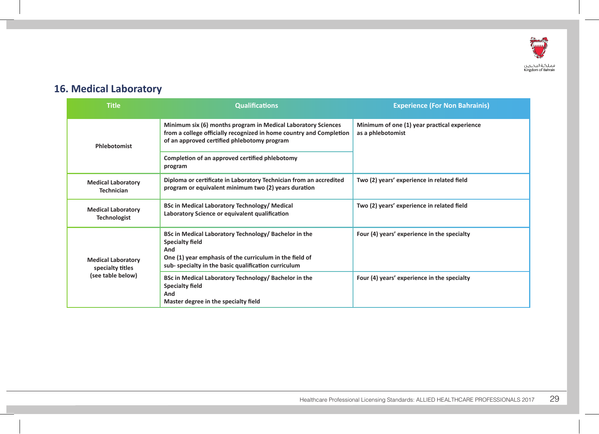

#### **16. Medical Laboratory**

| <b>Title</b>                                                       | <b>Qualifications</b>                                                                                                                                                                                    | <b>Experience (For Non Bahrainis)</b>                             |  |
|--------------------------------------------------------------------|----------------------------------------------------------------------------------------------------------------------------------------------------------------------------------------------------------|-------------------------------------------------------------------|--|
| Phlebotomist                                                       | Minimum six (6) months program in Medical Laboratory Sciences<br>from a college officially recognized in home country and Completion<br>of an approved certified phlebotomy program                      | Minimum of one (1) year practical experience<br>as a phlebotomist |  |
|                                                                    | Completion of an approved certified phlebotomy<br>program                                                                                                                                                |                                                                   |  |
| <b>Medical Laboratory</b><br><b>Technician</b>                     | Diploma or certificate in Laboratory Technician from an accredited<br>program or equivalent minimum two (2) years duration                                                                               | Two (2) years' experience in related field                        |  |
| <b>Medical Laboratory</b><br><b>Technologist</b>                   | BSc in Medical Laboratory Technology/ Medical<br>Laboratory Science or equivalent qualification                                                                                                          | Two (2) years' experience in related field                        |  |
| <b>Medical Laboratory</b><br>specialty titles<br>(see table below) | BSc in Medical Laboratory Technology/Bachelor in the<br><b>Specialty field</b><br>And<br>One (1) year emphasis of the curriculum in the field of<br>sub- specialty in the basic qualification curriculum | Four (4) years' experience in the specialty                       |  |
|                                                                    | BSc in Medical Laboratory Technology/Bachelor in the<br><b>Specialty field</b><br>And<br>Master degree in the specialty field                                                                            | Four (4) years' experience in the specialty                       |  |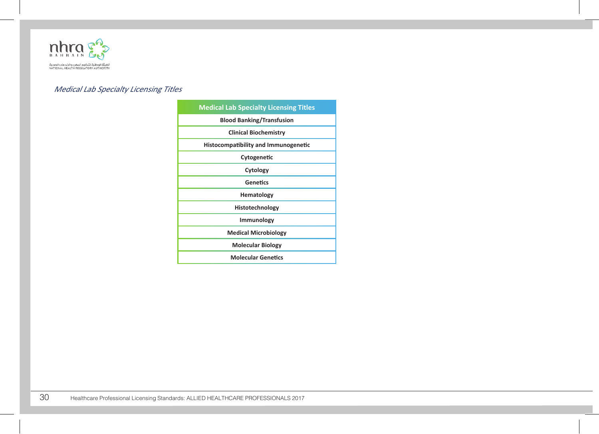

#### Medical Lab Specialty Licensing Titles

| <b>Medical Lab Specialty Licensing Titles</b> |
|-----------------------------------------------|
| <b>Blood Banking/Transfusion</b>              |
| <b>Clinical Biochemistry</b>                  |
| Histocompatibility and Immunogenetic          |
| Cytogenetic                                   |
| Cytology                                      |
| Genetics                                      |
| Hematology                                    |
| Histotechnology                               |
| Immunology                                    |
| <b>Medical Microbiology</b>                   |
| <b>Molecular Biology</b>                      |
| <b>Molecular Genetics</b>                     |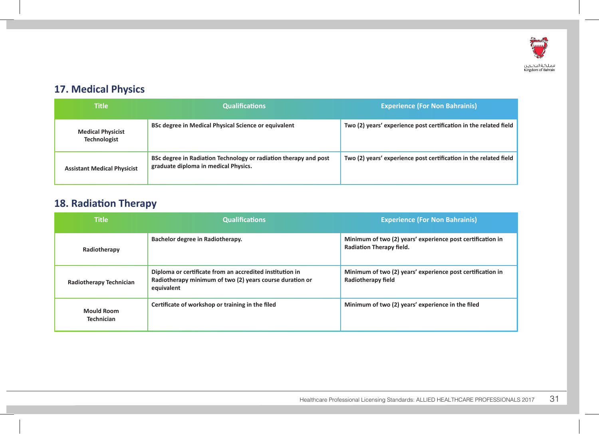

#### **17. Medical Physics**

| <b>Title</b>                                    | <b>Qualifications</b>                                                                                    |                                                                   | <b>Experience (For Non Bahrainis)</b>                             |
|-------------------------------------------------|----------------------------------------------------------------------------------------------------------|-------------------------------------------------------------------|-------------------------------------------------------------------|
| <b>Medical Physicist</b><br><b>Technologist</b> | BSc degree in Medical Physical Science or equivalent                                                     | Two (2) years' experience post certification in the related field |                                                                   |
| <b>Assistant Medical Physicist</b>              | BSc degree in Radiation Technology or radiation therapy and post<br>graduate diploma in medical Physics. |                                                                   | Two (2) years' experience post certification in the related field |

#### **18. Radiation Therapy**

| <b>Title</b>                           | <b>Qualifications</b>                                                                                                              |                                                                                        | <b>Experience (For Non Bahrainis)</b> |  |
|----------------------------------------|------------------------------------------------------------------------------------------------------------------------------------|----------------------------------------------------------------------------------------|---------------------------------------|--|
| Radiotherapy                           | Bachelor degree in Radiotherapy.                                                                                                   | Minimum of two (2) years' experience post certification in<br>Radiation Therapy field. |                                       |  |
| Radiotherapy Technician                | Diploma or certificate from an accredited institution in<br>Radiotherapy minimum of two (2) years course duration or<br>equivalent | Minimum of two (2) years' experience post certification in<br>Radiotherapy field       |                                       |  |
| <b>Mould Room</b><br><b>Technician</b> | Certificate of workshop or training in the filed                                                                                   | Minimum of two (2) years' experience in the filed                                      |                                       |  |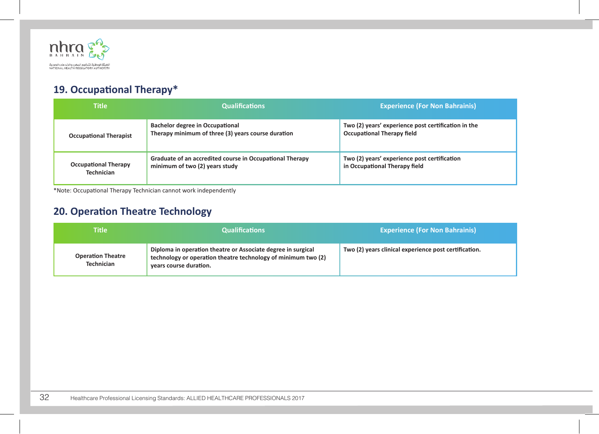

## **19. Occupational Therapy\***

| Title                                            | <b>Qualifications</b>                                                                        | <b>Experience (For Non Bahrainis)</b>                                                    |
|--------------------------------------------------|----------------------------------------------------------------------------------------------|------------------------------------------------------------------------------------------|
| <b>Occupational Therapist</b>                    | <b>Bachelor degree in Occupational</b><br>Therapy minimum of three (3) years course duration | Two (2) years' experience post certification in the<br><b>Occupational Therapy field</b> |
| <b>Occupational Therapy</b><br><b>Technician</b> | Graduate of an accredited course in Occupational Therapy<br>minimum of two (2) years study   | Two (2) years' experience post certification<br>in Occupational Therapy field            |

\*Note: Occupational Therapy Technician cannot work independently

#### **20. Operation Theatre Technology**

| Title :                                       | <b>Qualifications</b>                                                                                                                                   | <b>Experience (For Non Bahrainis)</b>                 |
|-----------------------------------------------|---------------------------------------------------------------------------------------------------------------------------------------------------------|-------------------------------------------------------|
| <b>Operation Theatre</b><br><b>Technician</b> | Diploma in operation theatre or Associate degree in surgical<br>technology or operation theatre technology of minimum two (2)<br>years course duration. | Two (2) years clinical experience post certification. |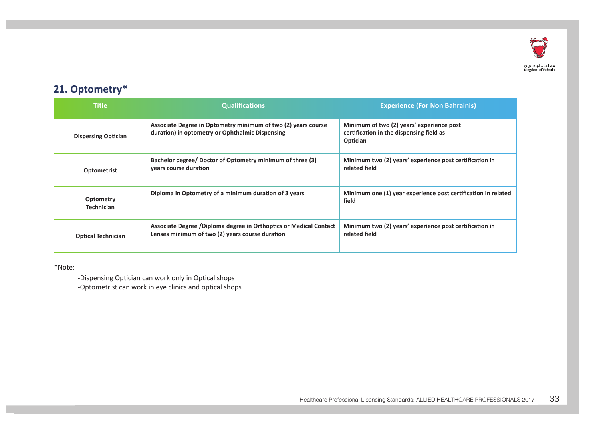

#### **21. Optometry\***

| <b>Title</b>                   | <b>Qualifications</b>                                                                                                | <b>Experience (For Non Bahrainis)</b>                                                             |  |
|--------------------------------|----------------------------------------------------------------------------------------------------------------------|---------------------------------------------------------------------------------------------------|--|
| <b>Dispersing Optician</b>     | Associate Degree in Optometry minimum of two (2) years course<br>duration) in optometry or Ophthalmic Dispensing     | Minimum of two (2) years' experience post<br>certification in the dispensing field as<br>Optician |  |
| Optometrist                    | Bachelor degree/ Doctor of Optometry minimum of three (3)<br>years course duration                                   | Minimum two (2) years' experience post certification in<br>related field                          |  |
| Optometry<br><b>Technician</b> | Diploma in Optometry of a minimum duration of 3 years                                                                | Minimum one (1) year experience post certification in related<br>field                            |  |
| <b>Optical Technician</b>      | Associate Degree /Diploma degree in Orthoptics or Medical Contact<br>Lenses minimum of two (2) years course duration | Minimum two (2) years' experience post certification in<br>related field                          |  |

\*Note:

-Dispensing Optician can work only in Optical shops -Optometrist can work in eye clinics and optical shops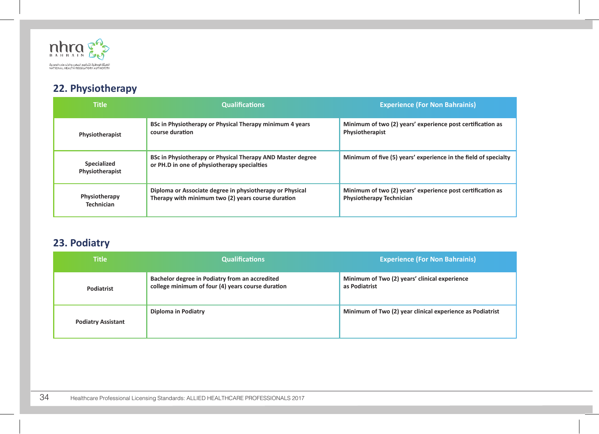

## **22. Physiotherapy**

| <b>Title</b>                       | <b>Qualifications</b>                                                                                          | <b>Experience (For Non Bahrainis)</b>                                                         |  |
|------------------------------------|----------------------------------------------------------------------------------------------------------------|-----------------------------------------------------------------------------------------------|--|
| Physiotherapist                    | BSc in Physiotherapy or Physical Therapy minimum 4 years<br>course duration                                    | Minimum of two (2) years' experience post certification as<br>Physiotherapist                 |  |
| Specialized<br>Physiotherapist     | BSc in Physiotherapy or Physical Therapy AND Master degree<br>or PH.D in one of physiotherapy specialties      | Minimum of five (5) years' experience in the field of specialty                               |  |
| Physiotherapy<br><b>Technician</b> | Diploma or Associate degree in physiotherapy or Physical<br>Therapy with minimum two (2) years course duration | Minimum of two (2) years' experience post certification as<br><b>Physiotherapy Technician</b> |  |

#### **23. Podiatry**

| <b>Title</b>              | <b>Qualifications</b>                                                                               |               | <b>Experience (For Non Bahrainis)</b>                     |
|---------------------------|-----------------------------------------------------------------------------------------------------|---------------|-----------------------------------------------------------|
| Podiatrist                | Bachelor degree in Podiatry from an accredited<br>college minimum of four (4) years course duration | as Podiatrist | Minimum of Two (2) years' clinical experience             |
| <b>Podiatry Assistant</b> | Diploma in Podiatry                                                                                 |               | Minimum of Two (2) year clinical experience as Podiatrist |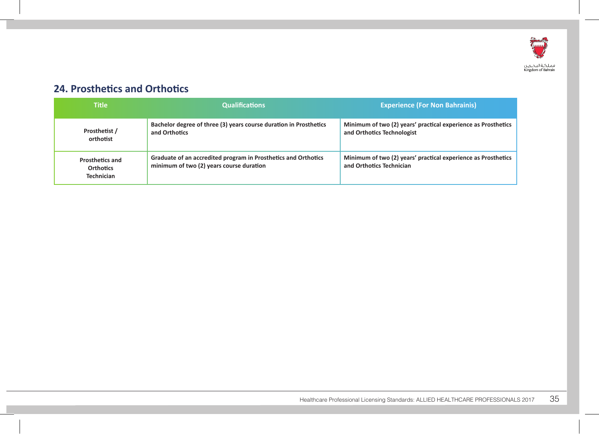

#### **24. Prosthetics and Orthotics**

| <b>Title</b>                                             | <b>Qualifications</b>                                                                                      | <b>Experience (For Non Bahrainis)</b>                                                       |
|----------------------------------------------------------|------------------------------------------------------------------------------------------------------------|---------------------------------------------------------------------------------------------|
| Prosthetist /<br>orthotist                               | Bachelor degree of three (3) years course duration in Prosthetics<br>and Orthotics                         | Minimum of two (2) years' practical experience as Prosthetics<br>and Orthotics Technologist |
| <b>Prosthetics and</b><br><b>Orthotics</b><br>Technician | Graduate of an accredited program in Prosthetics and Orthotics<br>minimum of two (2) years course duration | Minimum of two (2) years' practical experience as Prosthetics<br>and Orthotics Technician   |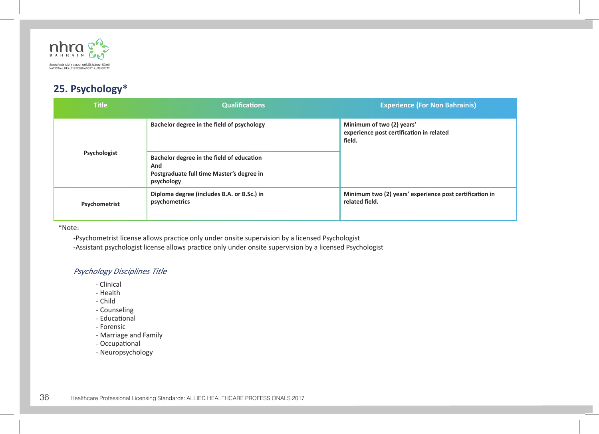

#### **25. Psychology\***

| <b>Title</b>  | <b>Qualifications</b>                                                                                       | <b>Experience (For Non Bahrainis)</b>                                           |
|---------------|-------------------------------------------------------------------------------------------------------------|---------------------------------------------------------------------------------|
|               | Bachelor degree in the field of psychology                                                                  | Minimum of two (2) years'<br>experience post certification in related<br>field. |
| Psychologist  | Bachelor degree in the field of education<br>And<br>Postgraduate full time Master's degree in<br>psychology |                                                                                 |
| Psychometrist | Diploma degree (includes B.A. or B.Sc.) in<br>psychometrics                                                 | Minimum two (2) years' experience post certification in<br>related field.       |

\*Note:

-Psychometrist license allows practice only under onsite supervision by a licensed Psychologist

-Assistant psychologist license allows practice only under onsite supervision by a licensed Psychologist

#### Psychology Disciplines Title

- Clinical
- Health
- Child
- Counseling
- Educational
- Forensic
- Marriage and Family
- Occupational
- Neuropsychology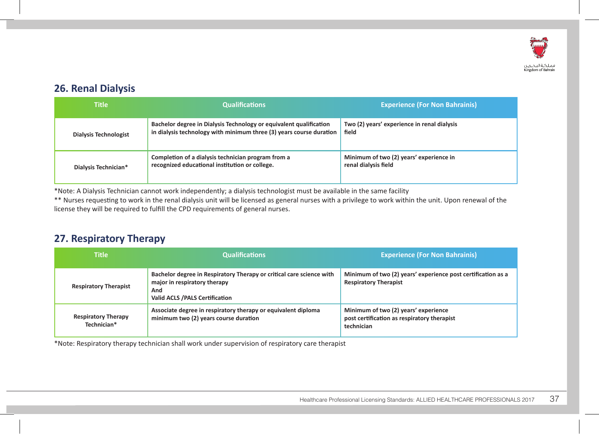

#### **26. Renal Dialysis**

| <b>Title</b>                 | <b>Qualifications</b>                                                                                                                     | <b>Experience (For Non Bahrainis)</b>                           |  |
|------------------------------|-------------------------------------------------------------------------------------------------------------------------------------------|-----------------------------------------------------------------|--|
| <b>Dialysis Technologist</b> | Bachelor degree in Dialysis Technology or equivalent qualification<br>in dialysis technology with minimum three (3) years course duration | Two (2) years' experience in renal dialysis<br>field            |  |
| Dialysis Technician*         | Completion of a dialysis technician program from a<br>recognized educational institution or college.                                      | Minimum of two (2) years' experience in<br>renal dialysis field |  |

\*Note: A Dialysis Technician cannot work independently; a dialysis technologist must be available in the same facility

\*\* Nurses requesting to work in the renal dialysis unit will be licensed as general nurses with a privilege to work within the unit. Upon renewal of the license they will be required to fulfill the CPD requirements of general nurses.

#### **27. Respiratory Therapy**

| Title                                     | <b>Qualifications</b>                                                                                                                          |            | <b>Experience (For Non Bahrainis)</b>                                                        |
|-------------------------------------------|------------------------------------------------------------------------------------------------------------------------------------------------|------------|----------------------------------------------------------------------------------------------|
| <b>Respiratory Therapist</b>              | Bachelor degree in Respiratory Therapy or critical care science with<br>major in respiratory therapy<br>And<br>Valid ACLS / PALS Certification |            | Minimum of two (2) years' experience post certification as a<br><b>Respiratory Therapist</b> |
| <b>Respiratory Therapy</b><br>Technician* | Associate degree in respiratory therapy or equivalent diploma<br>minimum two (2) years course duration                                         | technician | Minimum of two (2) years' experience<br>post certification as respiratory therapist          |

\*Note: Respiratory therapy technician shall work under supervision of respiratory care therapist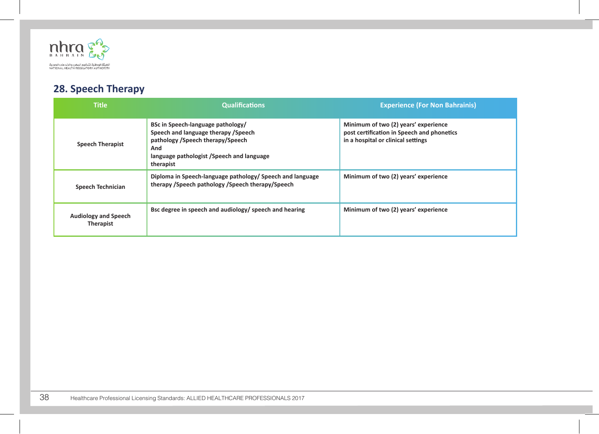

# **28. Speech Therapy**

| <b>Title</b>                             | <b>Qualifications</b>                                                                                                                                                          | <b>Experience (For Non Bahrainis)</b>                                                                                    |  |
|------------------------------------------|--------------------------------------------------------------------------------------------------------------------------------------------------------------------------------|--------------------------------------------------------------------------------------------------------------------------|--|
| <b>Speech Therapist</b>                  | BSc in Speech-language pathology/<br>Speech and language therapy / Speech<br>pathology /Speech therapy/Speech<br>And<br>language pathologist /Speech and language<br>therapist | Minimum of two (2) years' experience<br>post certification in Speech and phonetics<br>in a hospital or clinical settings |  |
| Speech Technician                        | Diploma in Speech-language pathology/ Speech and language<br>therapy /Speech pathology /Speech therapy/Speech                                                                  | Minimum of two (2) years' experience                                                                                     |  |
| <b>Audiology and Speech</b><br>Therapist | Bsc degree in speech and audiology/ speech and hearing                                                                                                                         | Minimum of two (2) years' experience                                                                                     |  |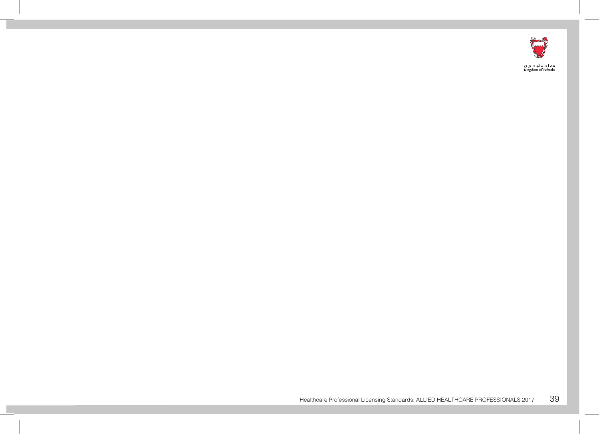

مملكة البحــريـن<br>Kingdom of Bahrain